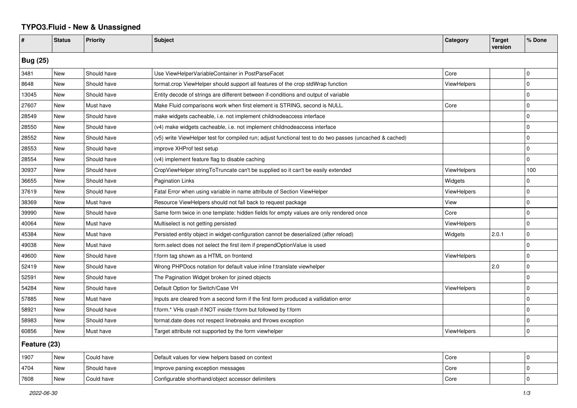## **TYPO3.Fluid - New & Unassigned**

| #               | <b>Status</b> | <b>Priority</b> | <b>Subject</b>                                                                                           | Category           | <b>Target</b><br>version | % Done      |  |  |
|-----------------|---------------|-----------------|----------------------------------------------------------------------------------------------------------|--------------------|--------------------------|-------------|--|--|
| <b>Bug (25)</b> |               |                 |                                                                                                          |                    |                          |             |  |  |
| 3481            | <b>New</b>    | Should have     | Use ViewHelperVariableContainer in PostParseFacet                                                        | Core               |                          | $\mathbf 0$ |  |  |
| 8648            | New           | Should have     | format.crop ViewHelper should support all features of the crop stdWrap function                          | <b>ViewHelpers</b> |                          | $\Omega$    |  |  |
| 13045           | New           | Should have     | Entity decode of strings are different between if-conditions and output of variable                      |                    |                          | $\mathbf 0$ |  |  |
| 27607           | New           | Must have       | Make Fluid comparisons work when first element is STRING, second is NULL.                                | Core               |                          | $\mathbf 0$ |  |  |
| 28549           | <b>New</b>    | Should have     | make widgets cacheable, i.e. not implement childnodeaccess interface                                     |                    |                          | $\mathbf 0$ |  |  |
| 28550           | <b>New</b>    | Should have     | (v4) make widgets cacheable, i.e. not implement childnodeaccess interface                                |                    |                          | l 0         |  |  |
| 28552           | New           | Should have     | (v5) write ViewHelper test for compiled run; adjust functional test to do two passes (uncached & cached) |                    |                          | $\mathbf 0$ |  |  |
| 28553           | New           | Should have     | improve XHProf test setup                                                                                |                    |                          | $\mathbf 0$ |  |  |
| 28554           | <b>New</b>    | Should have     | (v4) implement feature flag to disable caching                                                           |                    |                          | $\Omega$    |  |  |
| 30937           | <b>New</b>    | Should have     | CropViewHelper stringToTruncate can't be supplied so it can't be easily extended                         | <b>ViewHelpers</b> |                          | 100         |  |  |
| 36655           | <b>New</b>    | Should have     | <b>Pagination Links</b>                                                                                  | Widgets            |                          | $\Omega$    |  |  |
| 37619           | New           | Should have     | Fatal Error when using variable in name attribute of Section ViewHelper                                  | <b>ViewHelpers</b> |                          | $\Omega$    |  |  |
| 38369           | New           | Must have       | Resource ViewHelpers should not fall back to request package                                             | View               |                          | $\mathbf 0$ |  |  |
| 39990           | New           | Should have     | Same form twice in one template: hidden fields for empty values are only rendered once                   | Core               |                          | $\mathbf 0$ |  |  |
| 40064           | New           | Must have       | Multiselect is not getting persisted                                                                     | ViewHelpers        |                          | $\mathbf 0$ |  |  |
| 45384           | <b>New</b>    | Must have       | Persisted entity object in widget-configuration cannot be deserialized (after reload)                    | Widgets            | 2.0.1                    | $\mathbf 0$ |  |  |
| 49038           | New           | Must have       | form select does not select the first item if prependOptionValue is used                                 |                    |                          | $\Omega$    |  |  |
| 49600           | <b>New</b>    | Should have     | f:form tag shown as a HTML on frontend                                                                   | ViewHelpers        |                          | $\Omega$    |  |  |
| 52419           | New           | Should have     | Wrong PHPDocs notation for default value inline f:translate viewhelper                                   |                    | 2.0                      | $\Omega$    |  |  |
| 52591           | New           | Should have     | The Pagination Widget broken for joined objects                                                          |                    |                          | $\Omega$    |  |  |
| 54284           | New           | Should have     | Default Option for Switch/Case VH                                                                        | ViewHelpers        |                          | $\mathbf 0$ |  |  |
| 57885           | New           | Must have       | Inputs are cleared from a second form if the first form produced a vallidation error                     |                    |                          | $\mathbf 0$ |  |  |
| 58921           | <b>New</b>    | Should have     | f:form.* VHs crash if NOT inside f:form but followed by f:form                                           |                    |                          | $\mathbf 0$ |  |  |
| 58983           | New           | Should have     | format.date does not respect linebreaks and throws exception                                             |                    |                          | $\mathbf 0$ |  |  |
| 60856           | New           | Must have       | Target attribute not supported by the form viewhelper                                                    | ViewHelpers        |                          | $\mathbf 0$ |  |  |
| Feature (23)    |               |                 |                                                                                                          |                    |                          |             |  |  |
| 1907            | New           | Could have      | Default values for view helpers based on context                                                         | Core               |                          | $\mathbf 0$ |  |  |
| 4704            | New           | Should have     | Improve parsing exception messages                                                                       | Core               |                          | $\mathbf 0$ |  |  |
| 7608            | New           | Could have      | Configurable shorthand/object accessor delimiters                                                        | Core               |                          | $\Omega$    |  |  |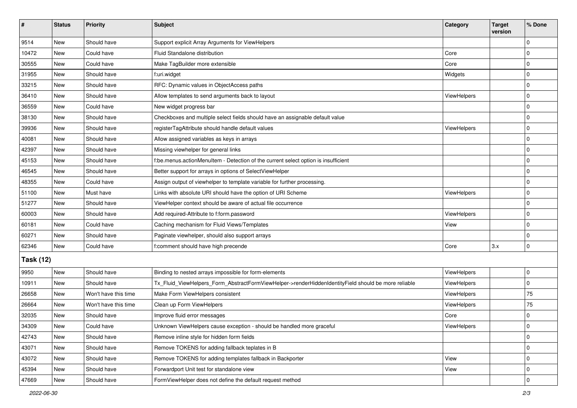| $\vert$ #        | <b>Status</b> | Priority             | Subject                                                                                             | Category           | <b>Target</b><br>version | % Done       |  |  |
|------------------|---------------|----------------------|-----------------------------------------------------------------------------------------------------|--------------------|--------------------------|--------------|--|--|
| 9514             | New           | Should have          | Support explicit Array Arguments for ViewHelpers                                                    |                    |                          | $\Omega$     |  |  |
| 10472            | New           | Could have           | Fluid Standalone distribution                                                                       | Core               |                          | 0            |  |  |
| 30555            | New           | Could have           | Make TagBuilder more extensible                                                                     | Core               |                          | $\Omega$     |  |  |
| 31955            | <b>New</b>    | Should have          | f:uri.widget                                                                                        | Widgets            |                          | 0            |  |  |
| 33215            | New           | Should have          | RFC: Dynamic values in ObjectAccess paths                                                           |                    |                          | 0            |  |  |
| 36410            | New           | Should have          | Allow templates to send arguments back to layout                                                    | <b>ViewHelpers</b> |                          | $\mathbf 0$  |  |  |
| 36559            | New           | Could have           | New widget progress bar                                                                             |                    |                          | 0            |  |  |
| 38130            | New           | Should have          | Checkboxes and multiple select fields should have an assignable default value                       |                    |                          | $\mathbf 0$  |  |  |
| 39936            | New           | Should have          | registerTagAttribute should handle default values                                                   | ViewHelpers        |                          | $\mathbf 0$  |  |  |
| 40081            | New           | Should have          | Allow assigned variables as keys in arrays                                                          |                    |                          | 0            |  |  |
| 42397            | New           | Should have          | Missing viewhelper for general links                                                                |                    |                          | $\Omega$     |  |  |
| 45153            | <b>New</b>    | Should have          | f:be.menus.actionMenuItem - Detection of the current select option is insufficient                  |                    |                          | $\mathbf 0$  |  |  |
| 46545            | New           | Should have          | Better support for arrays in options of SelectViewHelper                                            |                    |                          | $\mathbf 0$  |  |  |
| 48355            | <b>New</b>    | Could have           | Assign output of viewhelper to template variable for further processing.                            |                    |                          | $\mathbf 0$  |  |  |
| 51100            | New           | Must have            | Links with absolute URI should have the option of URI Scheme                                        | <b>ViewHelpers</b> |                          | 0            |  |  |
| 51277            | New           | Should have          | ViewHelper context should be aware of actual file occurrence                                        |                    |                          | $\Omega$     |  |  |
| 60003            | <b>New</b>    | Should have          | Add required-Attribute to f:form.password                                                           | <b>ViewHelpers</b> |                          | $\mathbf 0$  |  |  |
| 60181            | New           | Could have           | Caching mechanism for Fluid Views/Templates                                                         | View               |                          | $\mathbf 0$  |  |  |
| 60271            | New           | Should have          | Paginate viewhelper, should also support arrays                                                     |                    |                          | $\mathbf 0$  |  |  |
| 62346            | <b>New</b>    | Could have           | f:comment should have high precende                                                                 | Core               | 3.x                      | $\mathbf 0$  |  |  |
| <b>Task (12)</b> |               |                      |                                                                                                     |                    |                          |              |  |  |
| 9950             | New           | Should have          | Binding to nested arrays impossible for form-elements                                               | ViewHelpers        |                          | 0            |  |  |
| 10911            | <b>New</b>    | Should have          | Tx_Fluid_ViewHelpers_Form_AbstractFormViewHelper->renderHiddenIdentityField should be more reliable | ViewHelpers        |                          | 0            |  |  |
| 26658            | New           | Won't have this time | Make Form ViewHelpers consistent                                                                    | ViewHelpers        |                          | 75           |  |  |
| 26664            | <b>New</b>    | Won't have this time | Clean up Form ViewHelpers                                                                           | ViewHelpers        |                          | 75           |  |  |
| 32035            | New           | Should have          | Improve fluid error messages                                                                        | Core               |                          | 0            |  |  |
| 34309            | New           | Could have           | Unknown ViewHelpers cause exception - should be handled more graceful                               | ViewHelpers        |                          | 0            |  |  |
| 42743            | New           | Should have          | Remove inline style for hidden form fields                                                          |                    |                          | $\mathbf 0$  |  |  |
| 43071            | New           | Should have          | Remove TOKENS for adding fallback teplates in B                                                     |                    |                          | $\mathbf 0$  |  |  |
| 43072            | New           | Should have          | Remove TOKENS for adding templates fallback in Backporter                                           | View               |                          | $\mathbf 0$  |  |  |
| 45394            | New           | Should have          | Forwardport Unit test for standalone view                                                           | View               |                          | 0            |  |  |
| 47669            | New           | Should have          | FormViewHelper does not define the default request method                                           |                    |                          | $\mathbf{0}$ |  |  |